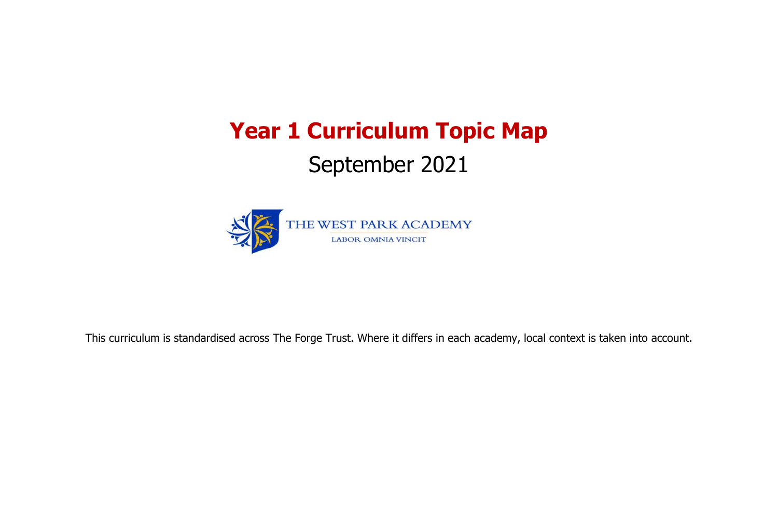# **Year 1 Curriculum Topic Map** September 2021



This curriculum is standardised across The Forge Trust. Where it differs in each academy, local context is taken into account.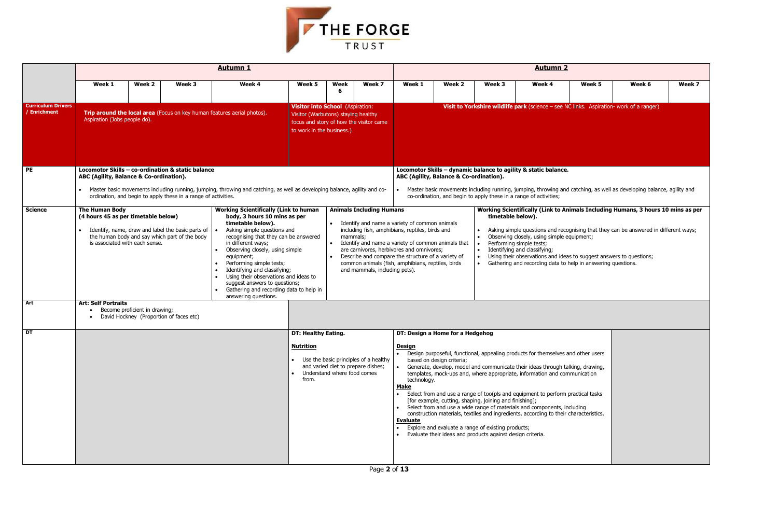| <b>Autumn 2</b>          |                                           |                                                                                                                                      |        |                                                                                                        |        |  |  |  |  |  |  |  |
|--------------------------|-------------------------------------------|--------------------------------------------------------------------------------------------------------------------------------------|--------|--------------------------------------------------------------------------------------------------------|--------|--|--|--|--|--|--|--|
| Week <sub>2</sub>        | Week 3                                    | Week 4                                                                                                                               | Week 5 | Week 6                                                                                                 | Week 7 |  |  |  |  |  |  |  |
|                          |                                           | Visit to Yorkshire wildlife park (science - see NC links. Aspiration- work of a ranger)                                              |        |                                                                                                        |        |  |  |  |  |  |  |  |
|                          |                                           |                                                                                                                                      |        |                                                                                                        |        |  |  |  |  |  |  |  |
|                          |                                           |                                                                                                                                      |        |                                                                                                        |        |  |  |  |  |  |  |  |
|                          |                                           |                                                                                                                                      |        |                                                                                                        |        |  |  |  |  |  |  |  |
|                          |                                           |                                                                                                                                      |        |                                                                                                        |        |  |  |  |  |  |  |  |
|                          |                                           | - dynamic balance to agility & static balance.                                                                                       |        |                                                                                                        |        |  |  |  |  |  |  |  |
|                          | ance & Co-ordination).                    |                                                                                                                                      |        |                                                                                                        |        |  |  |  |  |  |  |  |
|                          |                                           | and begin to apply these in a range of activities;                                                                                   |        | ovements including running, jumping, throwing and catching, as well as developing balance, agility and |        |  |  |  |  |  |  |  |
|                          |                                           |                                                                                                                                      |        | Working Scientifically (Link to Animals Including Humans, 3 hours 10 mins as per                       |        |  |  |  |  |  |  |  |
| imals                    | timetable below).                         |                                                                                                                                      |        |                                                                                                        |        |  |  |  |  |  |  |  |
| ınd                      | $\bullet$                                 | Observing closely, using simple equipment;                                                                                           |        | Asking simple questions and recognising that they can be answered in different ways;                   |        |  |  |  |  |  |  |  |
| imals that               | $\bullet$<br>$\bullet$                    | Performing simple tests;<br>Identifying and classifying;                                                                             |        |                                                                                                        |        |  |  |  |  |  |  |  |
| ariety of<br>s, birds    | $\bullet$<br>$\bullet$                    | Using their observations and ideas to suggest answers to questions;<br>Gathering and recording data to help in answering questions.  |        |                                                                                                        |        |  |  |  |  |  |  |  |
|                          |                                           |                                                                                                                                      |        |                                                                                                        |        |  |  |  |  |  |  |  |
|                          |                                           |                                                                                                                                      |        |                                                                                                        |        |  |  |  |  |  |  |  |
|                          |                                           |                                                                                                                                      |        |                                                                                                        |        |  |  |  |  |  |  |  |
|                          |                                           |                                                                                                                                      |        |                                                                                                        |        |  |  |  |  |  |  |  |
|                          |                                           |                                                                                                                                      |        |                                                                                                        |        |  |  |  |  |  |  |  |
| ne for a Hedgehog        |                                           |                                                                                                                                      |        |                                                                                                        |        |  |  |  |  |  |  |  |
|                          |                                           |                                                                                                                                      |        |                                                                                                        |        |  |  |  |  |  |  |  |
| <sub>I</sub> n criteria; |                                           | eful, functional, appealing products for themselves and other users                                                                  |        |                                                                                                        |        |  |  |  |  |  |  |  |
|                          |                                           | elop, model and communicate their ideas through talking, drawing,<br>ck-ups and, where appropriate, information and communication    |        |                                                                                                        |        |  |  |  |  |  |  |  |
|                          | cutting, shaping, joining and finishing]; | d use a range of too(pls and equipment to perform practical tasks                                                                    |        |                                                                                                        |        |  |  |  |  |  |  |  |
|                          |                                           | d use a wide range of materials and components, including<br>aterials, textiles and ingredients, according to their characteristics. |        |                                                                                                        |        |  |  |  |  |  |  |  |



|                                           |                                                              |                                                         |                                                                                                                     | <b>Autumn 1</b>                                                                                                                                                                                                                                                                                                                                                                                                                                           |                                                                                                                                                                                                                                                                                                                                                                                                                                                                                                                                                                                                                                                                                                                                                                                                                                                            |           |                                                                              | <b>Autumn 2</b>                                                                                                                                                                                                                                                                                                  |                                         |                                                                       |                                                                                                                                                                                                                                               |        |                                                                                                                                                                         |        |  |
|-------------------------------------------|--------------------------------------------------------------|---------------------------------------------------------|---------------------------------------------------------------------------------------------------------------------|-----------------------------------------------------------------------------------------------------------------------------------------------------------------------------------------------------------------------------------------------------------------------------------------------------------------------------------------------------------------------------------------------------------------------------------------------------------|------------------------------------------------------------------------------------------------------------------------------------------------------------------------------------------------------------------------------------------------------------------------------------------------------------------------------------------------------------------------------------------------------------------------------------------------------------------------------------------------------------------------------------------------------------------------------------------------------------------------------------------------------------------------------------------------------------------------------------------------------------------------------------------------------------------------------------------------------------|-----------|------------------------------------------------------------------------------|------------------------------------------------------------------------------------------------------------------------------------------------------------------------------------------------------------------------------------------------------------------------------------------------------------------|-----------------------------------------|-----------------------------------------------------------------------|-----------------------------------------------------------------------------------------------------------------------------------------------------------------------------------------------------------------------------------------------|--------|-------------------------------------------------------------------------------------------------------------------------------------------------------------------------|--------|--|
|                                           | Week 1                                                       | Week 2                                                  | Week 3                                                                                                              | Week 4                                                                                                                                                                                                                                                                                                                                                                                                                                                    | Week 5                                                                                                                                                                                                                                                                                                                                                                                                                                                                                                                                                                                                                                                                                                                                                                                                                                                     | Week<br>6 | Week 7                                                                       | Week 1                                                                                                                                                                                                                                                                                                           | Week 2                                  | Week 3                                                                | Week 4                                                                                                                                                                                                                                        | Week 5 | Week 6                                                                                                                                                                  | Week 7 |  |
| <b>Curriculum Drivers</b><br>/ Enrichment | Aspiration (Jobs people do).                                 |                                                         |                                                                                                                     | Trip around the local area (Focus on key human features aerial photos).                                                                                                                                                                                                                                                                                                                                                                                   | Visitor into School (Aspiration:<br>Visitor (Warbutons) staying healthy<br>to work in the business.)                                                                                                                                                                                                                                                                                                                                                                                                                                                                                                                                                                                                                                                                                                                                                       |           | focus and story of how the visitor came                                      |                                                                                                                                                                                                                                                                                                                  |                                         |                                                                       | Visit to Yorkshire wildlife park (science - see NC links. Aspiration- work of a ranger)                                                                                                                                                       |        |                                                                                                                                                                         |        |  |
| <b>PE</b>                                 | ABC (Agility, Balance & Co-ordination).                      |                                                         | Locomotor Skills - co-ordination & static balance<br>ordination, and begin to apply these in a range of activities. | Master basic movements including running, jumping, throwing and catching, as well as developing balance, agility and co-                                                                                                                                                                                                                                                                                                                                  |                                                                                                                                                                                                                                                                                                                                                                                                                                                                                                                                                                                                                                                                                                                                                                                                                                                            |           |                                                                              |                                                                                                                                                                                                                                                                                                                  | ABC (Agility, Balance & Co-ordination). |                                                                       | Locomotor Skills - dynamic balance to agility & static balance.<br>co-ordination, and begin to apply these in a range of activities;                                                                                                          |        | Master basic movements including running, jumping, throwing and catching, as well as developing balance, agility and                                                    |        |  |
| <b>Science</b>                            | <b>The Human Body</b><br>(4 hours 45 as per timetable below) | is associated with each sense.                          | Identify, name, draw and label the basic parts of<br>the human body and say which part of the body                  | <b>Working Scientifically (Link to human</b><br>body, 3 hours 10 mins as per<br>timetable below).<br>Asking simple questions and<br>recognising that they can be answered<br>in different ways;<br>Observing closely, using simple<br>equipment;<br>Performing simple tests;<br>Identifying and classifying;<br>Using their observations and ideas to<br>suggest answers to questions;<br>Gathering and recording data to help in<br>answering questions. |                                                                                                                                                                                                                                                                                                                                                                                                                                                                                                                                                                                                                                                                                                                                                                                                                                                            | $\bullet$ | <b>Animals Including Humans</b><br>mammals;<br>and mammals, including pets). | • Identify and name a variety of common animals<br>including fish, amphibians, reptiles, birds and<br>Identify and name a variety of common animals that<br>are carnivores, herbivores and omnivores;<br>Describe and compare the structure of a variety of<br>common animals (fish, amphibians, reptiles, birds |                                         | timetable below).<br>$\bullet$<br>$\bullet$<br>$\bullet$<br>$\bullet$ | Observing closely, using simple equipment;<br>Performing simple tests;<br>Identifying and classifying;<br>Using their observations and ideas to suggest answers to questions;<br>Gathering and recording data to help in answering questions. |        | Working Scientifically (Link to Animals Including Humans, 3 hours 10 mins as pe<br>Asking simple questions and recognising that they can be answered in different ways; |        |  |
| Art                                       | <b>Art: Self Portraits</b>                                   | Become proficient in drawing;                           | David Hockney (Proportion of faces etc)                                                                             |                                                                                                                                                                                                                                                                                                                                                                                                                                                           |                                                                                                                                                                                                                                                                                                                                                                                                                                                                                                                                                                                                                                                                                                                                                                                                                                                            |           |                                                                              |                                                                                                                                                                                                                                                                                                                  |                                         |                                                                       |                                                                                                                                                                                                                                               |        |                                                                                                                                                                         |        |  |
| DT                                        |                                                              | <b>DT: Healthy Eating.</b><br><b>Nutrition</b><br>from. | Understand where food comes                                                                                         | Use the basic principles of a healthy<br>and varied diet to prepare dishes;                                                                                                                                                                                                                                                                                                                                                                               | DT: Design a Home for a Hedgehog<br><b>Design</b><br>• Design purposeful, functional, appealing products for themselves and other users<br>based on design criteria;<br>Generate, develop, model and communicate their ideas through talking, drawing,<br>$\bullet$<br>templates, mock-ups and, where appropriate, information and communication<br>technology.<br><b>Make</b><br>• Select from and use a range of too(pls and equipment to perform practical tasks<br>[for example, cutting, shaping, joining and finishing];<br>• Select from and use a wide range of materials and components, including<br>construction materials, textiles and ingredients, according to their characteristics.<br><u>Evaluate</u><br>Explore and evaluate a range of existing products;<br>$\bullet$<br>• Evaluate their ideas and products against design criteria. |           |                                                                              |                                                                                                                                                                                                                                                                                                                  |                                         |                                                                       |                                                                                                                                                                                                                                               |        |                                                                                                                                                                         |        |  |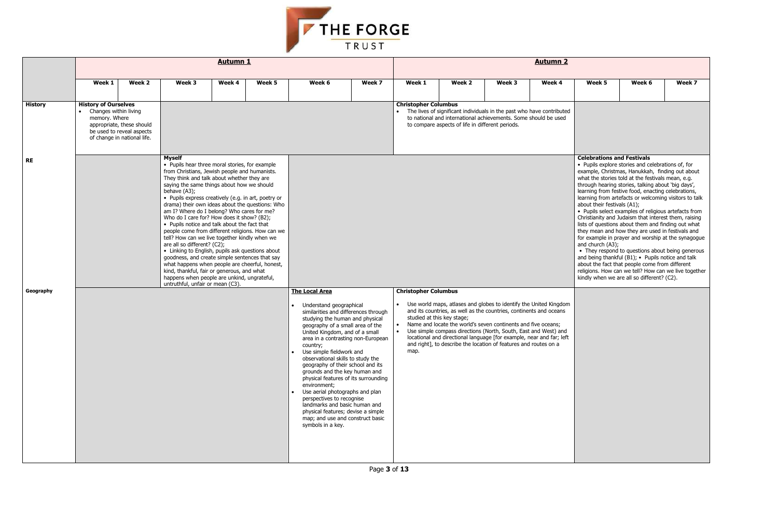

|                |                                                                       |                                                                                       |                                                                                                                                                                                                                                                                                                                                                                                                                                                                                                                                                                                                                                                                                                                                                                                                                                                                                                                 | <b>Autumn 1</b> |        |                                                                                                                                                                                                                                                                                                                                                                                                                                                                                                                                                                                                                                                    |        |                                                               |                                                                                                                                                                                                                                                                                                                                                                                                                                                       |        | <b>Autumn 2</b> |                                                                                      |                                                                                                                                                                                                                                                                                                                                                                                                                                                                                                                                                                                                                                                                                                                                                                                                                                                                  |        |  |
|----------------|-----------------------------------------------------------------------|---------------------------------------------------------------------------------------|-----------------------------------------------------------------------------------------------------------------------------------------------------------------------------------------------------------------------------------------------------------------------------------------------------------------------------------------------------------------------------------------------------------------------------------------------------------------------------------------------------------------------------------------------------------------------------------------------------------------------------------------------------------------------------------------------------------------------------------------------------------------------------------------------------------------------------------------------------------------------------------------------------------------|-----------------|--------|----------------------------------------------------------------------------------------------------------------------------------------------------------------------------------------------------------------------------------------------------------------------------------------------------------------------------------------------------------------------------------------------------------------------------------------------------------------------------------------------------------------------------------------------------------------------------------------------------------------------------------------------------|--------|---------------------------------------------------------------|-------------------------------------------------------------------------------------------------------------------------------------------------------------------------------------------------------------------------------------------------------------------------------------------------------------------------------------------------------------------------------------------------------------------------------------------------------|--------|-----------------|--------------------------------------------------------------------------------------|------------------------------------------------------------------------------------------------------------------------------------------------------------------------------------------------------------------------------------------------------------------------------------------------------------------------------------------------------------------------------------------------------------------------------------------------------------------------------------------------------------------------------------------------------------------------------------------------------------------------------------------------------------------------------------------------------------------------------------------------------------------------------------------------------------------------------------------------------------------|--------|--|
|                | Week 1                                                                | Week 2                                                                                | Week 3                                                                                                                                                                                                                                                                                                                                                                                                                                                                                                                                                                                                                                                                                                                                                                                                                                                                                                          | Week 4          | Week 5 | Week 6                                                                                                                                                                                                                                                                                                                                                                                                                                                                                                                                                                                                                                             | Week 7 | Week 1                                                        | Week 2                                                                                                                                                                                                                                                                                                                                                                                                                                                | Week 3 | Week 4          | Week 5                                                                               | Week 6                                                                                                                                                                                                                                                                                                                                                                                                                                                                                                                                                                                                                                                                                                                                                                                                                                                           | Week 7 |  |
| <b>History</b> | <b>History of Ourselves</b><br>Changes within living<br>memory. Where | appropriate, these should<br>be used to reveal aspects<br>of change in national life. |                                                                                                                                                                                                                                                                                                                                                                                                                                                                                                                                                                                                                                                                                                                                                                                                                                                                                                                 |                 |        |                                                                                                                                                                                                                                                                                                                                                                                                                                                                                                                                                                                                                                                    |        | <b>Christopher Columbus</b>                                   | The lives of significant individuals in the past who have contributed<br>to national and international achievements. Some should be used<br>to compare aspects of life in different periods.                                                                                                                                                                                                                                                          |        |                 |                                                                                      |                                                                                                                                                                                                                                                                                                                                                                                                                                                                                                                                                                                                                                                                                                                                                                                                                                                                  |        |  |
| <b>RE</b>      |                                                                       |                                                                                       | <b>Myself</b><br>• Pupils hear three moral stories, for example<br>from Christians, Jewish people and humanists.<br>They think and talk about whether they are<br>saying the same things about how we should<br>behave (A3);<br>• Pupils express creatively (e.g. in art, poetry or<br>drama) their own ideas about the questions: Who<br>am I? Where do I belong? Who cares for me?<br>Who do I care for? How does it show? (B2);<br>• Pupils notice and talk about the fact that<br>people come from different religions. How can we<br>tell? How can we live together kindly when we<br>are all so different? (C2);<br>• Linking to English, pupils ask questions about<br>goodness, and create simple sentences that say<br>what happens when people are cheerful, honest,<br>kind, thankful, fair or generous, and what<br>happens when people are unkind, ungrateful,<br>untruthful, unfair or mean (C3). |                 |        |                                                                                                                                                                                                                                                                                                                                                                                                                                                                                                                                                                                                                                                    |        |                                                               |                                                                                                                                                                                                                                                                                                                                                                                                                                                       |        |                 | <b>Celebrations and Festivals</b><br>about their festivals (A1);<br>and church (A3); | • Pupils explore stories and celebrations of, for<br>example, Christmas, Hanukkah, finding out abou<br>what the stories told at the festivals mean, e.g.<br>through hearing stories, talking about 'big days',<br>learning from festive food, enacting celebrations,<br>learning from artefacts or welcoming visitors to ta<br>• Pupils select examples of religious artefacts fro<br>Christianity and Judaism that interest them, raisir<br>lists of questions about them and finding out what<br>they mean and how they are used in festivals and<br>for example in prayer and worship at the synago<br>• They respond to questions about being gener<br>and being thankful (B1); • Pupils notice and talk<br>about the fact that people come from different<br>religions. How can we tell? How can we live toge<br>kindly when we are all so different? (C2). |        |  |
| Geography      |                                                                       |                                                                                       |                                                                                                                                                                                                                                                                                                                                                                                                                                                                                                                                                                                                                                                                                                                                                                                                                                                                                                                 |                 |        | <b>The Local Area</b><br>Understand geographical<br>similarities and differences through<br>studying the human and physical<br>geography of a small area of the<br>United Kingdom, and of a small<br>area in a contrasting non-European<br>country;<br>Use simple fieldwork and<br>observational skills to study the<br>geography of their school and its<br>grounds and the key human and<br>physical features of its surrounding<br>environment;<br>Use aerial photographs and plan<br>perspectives to recognise<br>landmarks and basic human and<br>physical features; devise a simple<br>map; and use and construct basic<br>symbols in a key. |        | <b>Christopher Columbus</b><br>$\bullet$<br>$\bullet$<br>map. | Use world maps, atlases and globes to identify the United Kingdom<br>and its countries, as well as the countries, continents and oceans<br>studied at this key stage;<br>Name and locate the world's seven continents and five oceans;<br>Use simple compass directions (North, South, East and West) and<br>locational and directional language [for example, near and far; left<br>and right], to describe the location of features and routes on a |        |                 |                                                                                      |                                                                                                                                                                                                                                                                                                                                                                                                                                                                                                                                                                                                                                                                                                                                                                                                                                                                  |        |  |

| ımn 2                                                     |                                                                                      |                                                                                                                                                                                                                                                                                                                                                                                                                                                                                                                                                                                                                                                                                                                                                                                                                                                                                 |        |
|-----------------------------------------------------------|--------------------------------------------------------------------------------------|---------------------------------------------------------------------------------------------------------------------------------------------------------------------------------------------------------------------------------------------------------------------------------------------------------------------------------------------------------------------------------------------------------------------------------------------------------------------------------------------------------------------------------------------------------------------------------------------------------------------------------------------------------------------------------------------------------------------------------------------------------------------------------------------------------------------------------------------------------------------------------|--------|
| ek 4                                                      | Week <sub>5</sub>                                                                    | Week 6                                                                                                                                                                                                                                                                                                                                                                                                                                                                                                                                                                                                                                                                                                                                                                                                                                                                          | Week 7 |
| าtributed<br>e used                                       |                                                                                      |                                                                                                                                                                                                                                                                                                                                                                                                                                                                                                                                                                                                                                                                                                                                                                                                                                                                                 |        |
|                                                           | <b>Celebrations and Festivals</b><br>about their festivals (A1);<br>and church (A3); | • Pupils explore stories and celebrations of, for<br>example, Christmas, Hanukkah, finding out about<br>what the stories told at the festivals mean, e.g.<br>through hearing stories, talking about 'big days',<br>learning from festive food, enacting celebrations,<br>learning from artefacts or welcoming visitors to talk<br>• Pupils select examples of religious artefacts from<br>Christianity and Judaism that interest them, raising<br>lists of questions about them and finding out what<br>they mean and how they are used in festivals and<br>for example in prayer and worship at the synagogue<br>• They respond to questions about being generous<br>and being thankful (B1); • Pupils notice and talk<br>about the fact that people come from different<br>religions. How can we tell? How can we live together<br>kindly when we are all so different? (C2). |        |
| Kingdom<br>oceans<br>ans;<br>st) and<br>far; left<br>on a |                                                                                      |                                                                                                                                                                                                                                                                                                                                                                                                                                                                                                                                                                                                                                                                                                                                                                                                                                                                                 |        |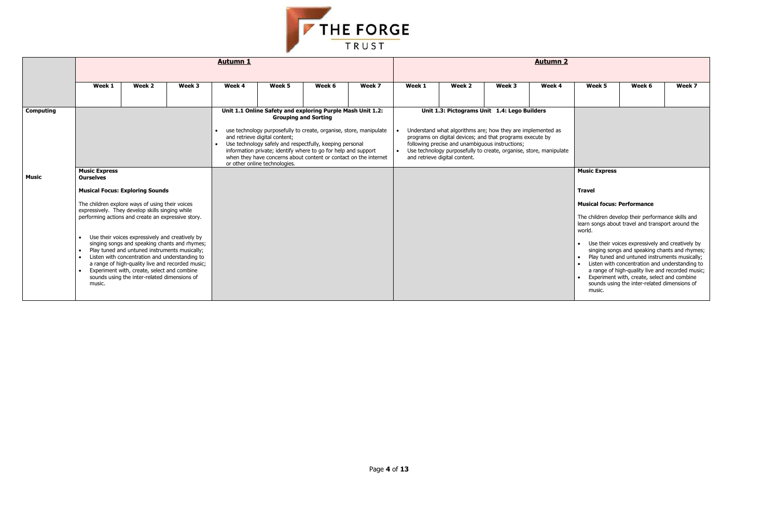

|                  |                                                                                                        |                                                                                                                                                                                                                                                                                                                                                                                                                                                                 |        | <b>Autumn 1</b> |                                                                |                                                                                                                                                                                                                                                                                                                                                                   | <b>Autumn 2</b> |        |                                                                                  |                                                                                                                                                                                                                                                |        |                                                                                                |                                                                                                                                                                                                                                                                                                                                                                                                                                                                  |        |  |  |
|------------------|--------------------------------------------------------------------------------------------------------|-----------------------------------------------------------------------------------------------------------------------------------------------------------------------------------------------------------------------------------------------------------------------------------------------------------------------------------------------------------------------------------------------------------------------------------------------------------------|--------|-----------------|----------------------------------------------------------------|-------------------------------------------------------------------------------------------------------------------------------------------------------------------------------------------------------------------------------------------------------------------------------------------------------------------------------------------------------------------|-----------------|--------|----------------------------------------------------------------------------------|------------------------------------------------------------------------------------------------------------------------------------------------------------------------------------------------------------------------------------------------|--------|------------------------------------------------------------------------------------------------|------------------------------------------------------------------------------------------------------------------------------------------------------------------------------------------------------------------------------------------------------------------------------------------------------------------------------------------------------------------------------------------------------------------------------------------------------------------|--------|--|--|
|                  |                                                                                                        |                                                                                                                                                                                                                                                                                                                                                                                                                                                                 |        |                 |                                                                |                                                                                                                                                                                                                                                                                                                                                                   |                 |        |                                                                                  |                                                                                                                                                                                                                                                |        |                                                                                                |                                                                                                                                                                                                                                                                                                                                                                                                                                                                  |        |  |  |
|                  | Week 1                                                                                                 | Week 2                                                                                                                                                                                                                                                                                                                                                                                                                                                          | Week 3 | Week 4          | Week 5                                                         | Week 6                                                                                                                                                                                                                                                                                                                                                            | Week 7          | Week 1 | Week 2                                                                           | Week 3                                                                                                                                                                                                                                         | Week 4 | Week 5                                                                                         | Week 6                                                                                                                                                                                                                                                                                                                                                                                                                                                           | Week 7 |  |  |
|                  |                                                                                                        |                                                                                                                                                                                                                                                                                                                                                                                                                                                                 |        |                 |                                                                |                                                                                                                                                                                                                                                                                                                                                                   |                 |        |                                                                                  |                                                                                                                                                                                                                                                |        |                                                                                                |                                                                                                                                                                                                                                                                                                                                                                                                                                                                  |        |  |  |
| <b>Computing</b> |                                                                                                        | <b>Musical Focus: Exploring Sounds</b><br>The children explore ways of using their voices                                                                                                                                                                                                                                                                                                                                                                       |        |                 | and retrieve digital content;<br>or other online technologies. | Unit 1.1 Online Safety and exploring Purple Mash Unit 1.2:<br><b>Grouping and Sorting</b><br>use technology purposefully to create, organise, store, manipulate<br>Use technology safely and respectfully, keeping personal<br>information private; identify where to go for help and support<br>when they have concerns about content or contact on the internet |                 |        | following precise and unambiguous instructions;<br>and retrieve digital content. | Unit 1.3: Pictograms Unit 1.4: Lego Builders<br>Understand what algorithms are; how they are implemented as<br>programs on digital devices; and that programs execute by<br>Use technology purposefully to create, organise, store, manipulate |        |                                                                                                |                                                                                                                                                                                                                                                                                                                                                                                                                                                                  |        |  |  |
| <b>Music</b>     | <b>Music Express</b><br><b>Ourselves</b><br>$\bullet$<br>$\bullet$<br>$\bullet$<br>$\bullet$<br>music. | expressively. They develop skills singing while<br>performing actions and create an expressive story.<br>Use their voices expressively and creatively by<br>singing songs and speaking chants and rhymes;<br>Play tuned and untuned instruments musically;<br>Listen with concentration and understanding to<br>a range of high-quality live and recorded music;<br>Experiment with, create, select and combine<br>sounds using the inter-related dimensions of |        |                 |                                                                |                                                                                                                                                                                                                                                                                                                                                                   |                 |        |                                                                                  |                                                                                                                                                                                                                                                |        | <b>Music Express</b><br><b>Travel</b><br><b>Musical focus: Performance</b><br>world.<br>music. | The children develop their performance skills and<br>learn songs about travel and transport around the<br>Use their voices expressively and creatively by<br>singing songs and speaking chants and rhymes;<br>Play tuned and untuned instruments musically;<br>Listen with concentration and understanding to<br>a range of high-quality live and recorded music;<br>Experiment with, create, select and combine<br>sounds using the inter-related dimensions of |        |  |  |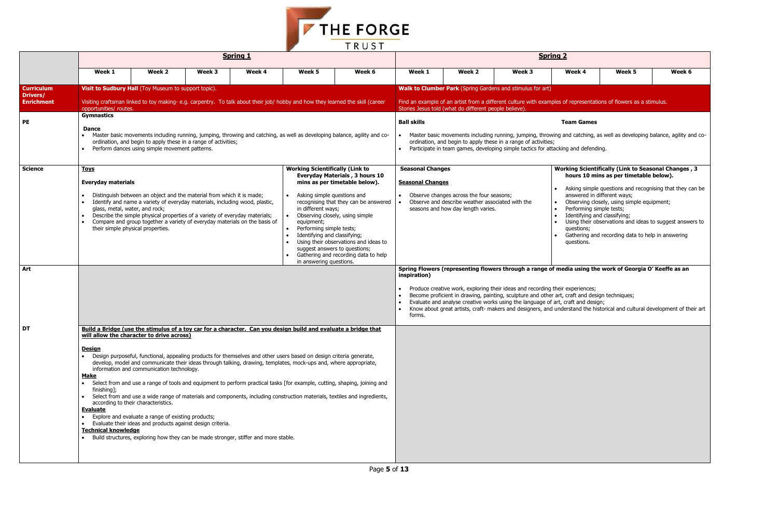| <b>Spring 2</b>                                   |                                                                                                                                    |        |                                                                                                                                                                                                               |                                                                                                 |                                                                                                                      |  |  |  |  |  |  |  |
|---------------------------------------------------|------------------------------------------------------------------------------------------------------------------------------------|--------|---------------------------------------------------------------------------------------------------------------------------------------------------------------------------------------------------------------|-------------------------------------------------------------------------------------------------|----------------------------------------------------------------------------------------------------------------------|--|--|--|--|--|--|--|
| Week 1                                            | Week 2                                                                                                                             | Week 3 | Week 4                                                                                                                                                                                                        | Week 5                                                                                          | Week 6                                                                                                               |  |  |  |  |  |  |  |
|                                                   | Walk to Clumber Park (Spring Gardens and stimulus for art)                                                                         |        |                                                                                                                                                                                                               |                                                                                                 |                                                                                                                      |  |  |  |  |  |  |  |
|                                                   | Stories Jesus told (what do different people believe).                                                                             |        | Find an example of an artist from a different culture with examples of representations of flowers as a stimulus.                                                                                              |                                                                                                 |                                                                                                                      |  |  |  |  |  |  |  |
| <b>Ball skills</b>                                |                                                                                                                                    |        | <b>Team Games</b>                                                                                                                                                                                             |                                                                                                 |                                                                                                                      |  |  |  |  |  |  |  |
| <b>Seasonal Changes</b>                           | ordination, and begin to apply these in a range of activities;                                                                     |        | Master basic movements including running, jumping, throwing and catching, as well as developing balance, agility and co-<br>Participate in team games, developing simple tactics for attacking and defending. | <b>Working Scientifically (Link to Seasonal Changes, 3</b>                                      |                                                                                                                      |  |  |  |  |  |  |  |
|                                                   |                                                                                                                                    |        |                                                                                                                                                                                                               | hours 10 mins as per timetable below).                                                          |                                                                                                                      |  |  |  |  |  |  |  |
| <b>Seasonal Changes</b><br>$\bullet$<br>$\bullet$ | Observe changes across the four seasons;<br>Observe and describe weather associated with the<br>seasons and how day length varies. |        | $\bullet$<br>answered in different ways;<br>$\bullet$<br>Performing simple tests;<br>$\bullet$<br>Identifying and classifying;<br>$\bullet$<br>$\bullet$<br>questions;<br>questions.                          | Observing closely, using simple equipment;<br>Gathering and recording data to help in answering | Asking simple questions and recognising that they can be<br>Using their observations and ideas to suggest answers to |  |  |  |  |  |  |  |



|                                                    |                                                                                              |                                                                                                                                                                                                                                                                                                                                                                                                                                                                                                                                                                                                                                                                                                                                                                                                                                                                      |        | <b>Spring 1</b>                                                                     |                                                                                                                                                                                                                                                                                                                                                             |                                                                                                                                                                                                                                                            | <b>Spring 2</b>                                                                                                                                                                                                                                                                                                                                                                                                     |                                                                                                                                                                                                                                                                                                     |        |                                                                                                                     |                                                                                                                                                                                                                                                                                                                     |        |  |  |
|----------------------------------------------------|----------------------------------------------------------------------------------------------|----------------------------------------------------------------------------------------------------------------------------------------------------------------------------------------------------------------------------------------------------------------------------------------------------------------------------------------------------------------------------------------------------------------------------------------------------------------------------------------------------------------------------------------------------------------------------------------------------------------------------------------------------------------------------------------------------------------------------------------------------------------------------------------------------------------------------------------------------------------------|--------|-------------------------------------------------------------------------------------|-------------------------------------------------------------------------------------------------------------------------------------------------------------------------------------------------------------------------------------------------------------------------------------------------------------------------------------------------------------|------------------------------------------------------------------------------------------------------------------------------------------------------------------------------------------------------------------------------------------------------------|---------------------------------------------------------------------------------------------------------------------------------------------------------------------------------------------------------------------------------------------------------------------------------------------------------------------------------------------------------------------------------------------------------------------|-----------------------------------------------------------------------------------------------------------------------------------------------------------------------------------------------------------------------------------------------------------------------------------------------------|--------|---------------------------------------------------------------------------------------------------------------------|---------------------------------------------------------------------------------------------------------------------------------------------------------------------------------------------------------------------------------------------------------------------------------------------------------------------|--------|--|--|
|                                                    | Week 1                                                                                       | Week 2                                                                                                                                                                                                                                                                                                                                                                                                                                                                                                                                                                                                                                                                                                                                                                                                                                                               | Week 3 | Week 4                                                                              | Week 5                                                                                                                                                                                                                                                                                                                                                      | Week 6                                                                                                                                                                                                                                                     | Week 1                                                                                                                                                                                                                                                                                                                                                                                                              | Week 2                                                                                                                                                                                                                                                                                              | Week 3 | Week 4                                                                                                              | Week 5                                                                                                                                                                                                                                                                                                              | Week 6 |  |  |
| <b>Curriculum</b><br>Drivers/<br><b>Enrichment</b> | opportunities/ routes.                                                                       | Visit to Sudbury Hall (Toy Museum to support topic).                                                                                                                                                                                                                                                                                                                                                                                                                                                                                                                                                                                                                                                                                                                                                                                                                 |        |                                                                                     | Visiting craftsman linked to toy making-e.g. carpentry. To talk about their job/hobby and how they learned the skill (career                                                                                                                                                                                                                                |                                                                                                                                                                                                                                                            |                                                                                                                                                                                                                                                                                                                                                                                                                     | <b>Walk to Clumber Park</b> (Spring Gardens and stimulus for art)<br>Find an example of an artist from a different culture with examples of representations of flowers as a stimulus.<br>Stories Jesus told (what do different people believe).                                                     |        |                                                                                                                     |                                                                                                                                                                                                                                                                                                                     |        |  |  |
| PE                                                 | <b>Gymnastics</b><br><b>Dance</b>                                                            | ordination, and begin to apply these in a range of activities;<br>Perform dances using simple movement patterns.                                                                                                                                                                                                                                                                                                                                                                                                                                                                                                                                                                                                                                                                                                                                                     |        |                                                                                     |                                                                                                                                                                                                                                                                                                                                                             | • Master basic movements including running, jumping, throwing and catching, as well as developing balance, agility and co-                                                                                                                                 | <b>Ball skills</b>                                                                                                                                                                                                                                                                                                                                                                                                  | Master basic movements including running, jumping, throwing and catching, as well as developing balance, agility a<br>ordination, and begin to apply these in a range of activities;<br>Participate in team games, developing simple tactics for attacking and defending.                           |        | <b>Team Games</b>                                                                                                   |                                                                                                                                                                                                                                                                                                                     |        |  |  |
| <b>Science</b><br>Art                              | <b>Toys</b><br><b>Everyday materials</b>                                                     | <b>Working Scientifically (Link to</b><br><b>Everyday Materials, 3 hours 10</b><br>mins as per timetable below).<br>Distinguish between an object and the material from which it is made;<br>Asking simple questions and<br>Identify and name a variety of everyday materials, including wood, plastic,<br>recognising that they can be answered<br>glass, metal, water, and rock;<br>in different ways;<br>Describe the simple physical properties of a variety of everyday materials;<br>Observing closely, using simple<br>Compare and group together a variety of everyday materials on the basis of<br>equipment;<br>their simple physical properties.<br>Performing simple tests;<br>Identifying and classifying;<br>Using their observations and ideas to<br>suggest answers to questions;<br>Gathering and recording data to help<br>in answering questions. |        |                                                                                     |                                                                                                                                                                                                                                                                                                                                                             |                                                                                                                                                                                                                                                            |                                                                                                                                                                                                                                                                                                                                                                                                                     | <b>Seasonal Changes</b><br><b>Seasonal Changes</b><br>Observe changes across the four seasons;<br>Observe and describe weather associated with the<br>seasons and how day length varies.<br>Spring Flowers (representing flowers through a range of media using the work of Georgia O' Keeffe as an |        | answered in different ways;<br>Performing simple tests;<br>Identifying and classifying;<br>questions;<br>questions. | <b>Working Scientifically (Link to Seasonal Changes)</b><br>hours 10 mins as per timetable below).<br>Asking simple questions and recognising that they c<br>Observing closely, using simple equipment;<br>Using their observations and ideas to suggest answe<br>Gathering and recording data to help in answering |        |  |  |
|                                                    |                                                                                              |                                                                                                                                                                                                                                                                                                                                                                                                                                                                                                                                                                                                                                                                                                                                                                                                                                                                      |        |                                                                                     |                                                                                                                                                                                                                                                                                                                                                             |                                                                                                                                                                                                                                                            | inspiration)<br>Produce creative work, exploring their ideas and recording their experiences;<br>Become proficient in drawing, painting, sculpture and other art, craft and design techniques;<br>Evaluate and analyse creative works using the language of art, craft and design;<br>Know about great artists, craft- makers and designers, and understand the historical and cultural development of th<br>forms. |                                                                                                                                                                                                                                                                                                     |        |                                                                                                                     |                                                                                                                                                                                                                                                                                                                     |        |  |  |
| DT                                                 | <b>Design</b><br><u>Make</u><br>finishing];<br><b>Evaluate</b><br><b>Technical knowledge</b> | will allow the character to drive across)<br>information and communication technology.<br>according to their characteristics.<br>Explore and evaluate a range of existing products;<br>Evaluate their ideas and products against design criteria.                                                                                                                                                                                                                                                                                                                                                                                                                                                                                                                                                                                                                    |        | Build structures, exploring how they can be made stronger, stiffer and more stable. | Build a Bridge (use the stimulus of a toy car for a character. Can you design build and evaluate a bridge that<br>. Design purposeful, functional, appealing products for themselves and other users based on design criteria generate,<br>develop, model and communicate their ideas through talking, drawing, templates, mock-ups and, where appropriate, | • Select from and use a range of tools and equipment to perform practical tasks [for example, cutting, shaping, joining and<br>• Select from and use a wide range of materials and components, including construction materials, textiles and ingredients, |                                                                                                                                                                                                                                                                                                                                                                                                                     |                                                                                                                                                                                                                                                                                                     |        |                                                                                                                     |                                                                                                                                                                                                                                                                                                                     |        |  |  |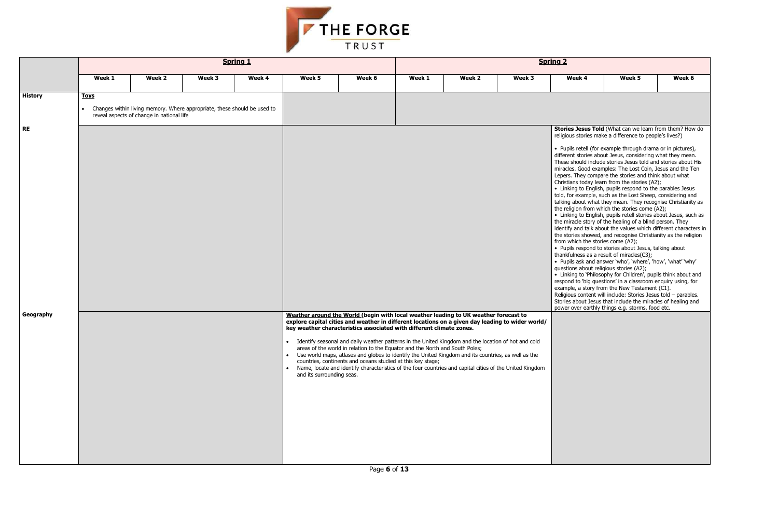| <u>ing 2</u>                                                                                                              |                                                                                                                                                                                                                                                                                                                                                                                                                                                                                                                                                                                                                                                                                                                                                                                                                                                                                                                                                                                                                                                                                                                                                                                                                                                                                                                                                                                                                                                                                                             |        |
|---------------------------------------------------------------------------------------------------------------------------|-------------------------------------------------------------------------------------------------------------------------------------------------------------------------------------------------------------------------------------------------------------------------------------------------------------------------------------------------------------------------------------------------------------------------------------------------------------------------------------------------------------------------------------------------------------------------------------------------------------------------------------------------------------------------------------------------------------------------------------------------------------------------------------------------------------------------------------------------------------------------------------------------------------------------------------------------------------------------------------------------------------------------------------------------------------------------------------------------------------------------------------------------------------------------------------------------------------------------------------------------------------------------------------------------------------------------------------------------------------------------------------------------------------------------------------------------------------------------------------------------------------|--------|
| Week 4                                                                                                                    | Week 5                                                                                                                                                                                                                                                                                                                                                                                                                                                                                                                                                                                                                                                                                                                                                                                                                                                                                                                                                                                                                                                                                                                                                                                                                                                                                                                                                                                                                                                                                                      | Week 6 |
|                                                                                                                           |                                                                                                                                                                                                                                                                                                                                                                                                                                                                                                                                                                                                                                                                                                                                                                                                                                                                                                                                                                                                                                                                                                                                                                                                                                                                                                                                                                                                                                                                                                             |        |
| from which the stories come (A2);<br>thankfulness as a result of miracles(C3);<br>questions about religious stories (A2); | Stories Jesus Told (What can we learn from them? How do<br>religious stories make a difference to people's lives?)<br>• Pupils retell (for example through drama or in pictures),<br>different stories about Jesus, considering what they mean.<br>These should include stories Jesus told and stories about His<br>miracles. Good examples: The Lost Coin, Jesus and the Ten<br>Lepers. They compare the stories and think about what<br>Christians today learn from the stories (A2);<br>• Linking to English, pupils respond to the parables Jesus<br>told, for example, such as the Lost Sheep, considering and<br>talking about what they mean. They recognise Christianity as<br>the religion from which the stories come (A2);<br>• Linking to English, pupils retell stories about Jesus, such as<br>the miracle story of the healing of a blind person. They<br>identify and talk about the values which different characters in<br>the stories showed, and recognise Christianity as the religion<br>• Pupils respond to stories about Jesus, talking about<br>Pupils ask and answer 'who', 'where', 'how', 'what' 'why'<br>• Linking to 'Philosophy for Children', pupils think about and<br>respond to 'big questions' in a classroom enquiry using, for<br>example, a story from the New Testament (C1).<br>Religious content will include: Stories Jesus told - parables.<br>Stories about Jesus that include the miracles of healing and<br>power over earthly things e.g. storms, food etc. |        |
|                                                                                                                           |                                                                                                                                                                                                                                                                                                                                                                                                                                                                                                                                                                                                                                                                                                                                                                                                                                                                                                                                                                                                                                                                                                                                                                                                                                                                                                                                                                                                                                                                                                             |        |



|                        |             |                                           |                                                                          | <b>Spring 1</b> |                           |                                                                                                                                                                                                                                                                                                                                                                                                                                                                                                                                                                |        |        |        | <b>Spring 2</b>                                                              |                                                                                                                                                                                                                                                                                                                                                                                                                                                                                                                                                                                                                                                                                                                                                                                                                                                                                                                                                                                                                                                                                                                                                                                                                                                                                                                                                                                                                                                                                                                       |        |
|------------------------|-------------|-------------------------------------------|--------------------------------------------------------------------------|-----------------|---------------------------|----------------------------------------------------------------------------------------------------------------------------------------------------------------------------------------------------------------------------------------------------------------------------------------------------------------------------------------------------------------------------------------------------------------------------------------------------------------------------------------------------------------------------------------------------------------|--------|--------|--------|------------------------------------------------------------------------------|-----------------------------------------------------------------------------------------------------------------------------------------------------------------------------------------------------------------------------------------------------------------------------------------------------------------------------------------------------------------------------------------------------------------------------------------------------------------------------------------------------------------------------------------------------------------------------------------------------------------------------------------------------------------------------------------------------------------------------------------------------------------------------------------------------------------------------------------------------------------------------------------------------------------------------------------------------------------------------------------------------------------------------------------------------------------------------------------------------------------------------------------------------------------------------------------------------------------------------------------------------------------------------------------------------------------------------------------------------------------------------------------------------------------------------------------------------------------------------------------------------------------------|--------|
|                        | Week 1      | Week 2                                    | Week 3                                                                   | Week 4          | Week 5                    | Week 6                                                                                                                                                                                                                                                                                                                                                                                                                                                                                                                                                         | Week 1 | Week 2 | Week 3 | Week 4                                                                       | Week 5                                                                                                                                                                                                                                                                                                                                                                                                                                                                                                                                                                                                                                                                                                                                                                                                                                                                                                                                                                                                                                                                                                                                                                                                                                                                                                                                                                                                                                                                                                                | Week 6 |
| <b>History</b>         | <u>Toys</u> | reveal aspects of change in national life | Changes within living memory. Where appropriate, these should be used to |                 |                           |                                                                                                                                                                                                                                                                                                                                                                                                                                                                                                                                                                |        |        |        |                                                                              |                                                                                                                                                                                                                                                                                                                                                                                                                                                                                                                                                                                                                                                                                                                                                                                                                                                                                                                                                                                                                                                                                                                                                                                                                                                                                                                                                                                                                                                                                                                       |        |
| <b>RE</b><br>Geography |             |                                           |                                                                          |                 |                           | Weather around the World (begin with local weather leading to UK weather forecast to<br>explore capital cities and weather in different locations on a given day leading to wider world/<br>key weather characteristics associated with different climate zones.<br>Identify seasonal and daily weather patterns in the United Kingdom and the location of hot and cold<br>areas of the world in relation to the Equator and the North and South Poles;<br>Use world maps, atlases and globes to identify the United Kingdom and its countries, as well as the |        |        |        | from which the stories come (A2);<br>questions about religious stories (A2); | Stories Jesus Told (What can we learn from them? Hov<br>religious stories make a difference to people's lives?)<br>· Pupils retell (for example through drama or in pictures)<br>different stories about Jesus, considering what they mear<br>These should include stories Jesus told and stories about<br>miracles. Good examples: The Lost Coin, Jesus and the T<br>Lepers. They compare the stories and think about what<br>Christians today learn from the stories (A2);<br>• Linking to English, pupils respond to the parables Jesus<br>told, for example, such as the Lost Sheep, considering an<br>talking about what they mean. They recognise Christianit<br>the religion from which the stories come (A2);<br>• Linking to English, pupils retell stories about Jesus, sud<br>the miracle story of the healing of a blind person. They<br>identify and talk about the values which different charact<br>the stories showed, and recognise Christianity as the relig<br>• Pupils respond to stories about Jesus, talking about<br>thankfulness as a result of miracles(C3);<br>• Pupils ask and answer 'who', 'where', 'how', 'what' 'why<br>• Linking to 'Philosophy for Children', pupils think about a<br>respond to 'big questions' in a classroom enquiry using, fo<br>example, a story from the New Testament (C1).<br>Religious content will include: Stories Jesus told - parable<br>Stories about Jesus that include the miracles of healing a<br>power over earthly things e.g. storms, food etc. |        |
|                        |             |                                           |                                                                          |                 | and its surrounding seas. | countries, continents and oceans studied at this key stage;<br>Name, locate and identify characteristics of the four countries and capital cities of the United Kingdom                                                                                                                                                                                                                                                                                                                                                                                        |        |        |        |                                                                              |                                                                                                                                                                                                                                                                                                                                                                                                                                                                                                                                                                                                                                                                                                                                                                                                                                                                                                                                                                                                                                                                                                                                                                                                                                                                                                                                                                                                                                                                                                                       |        |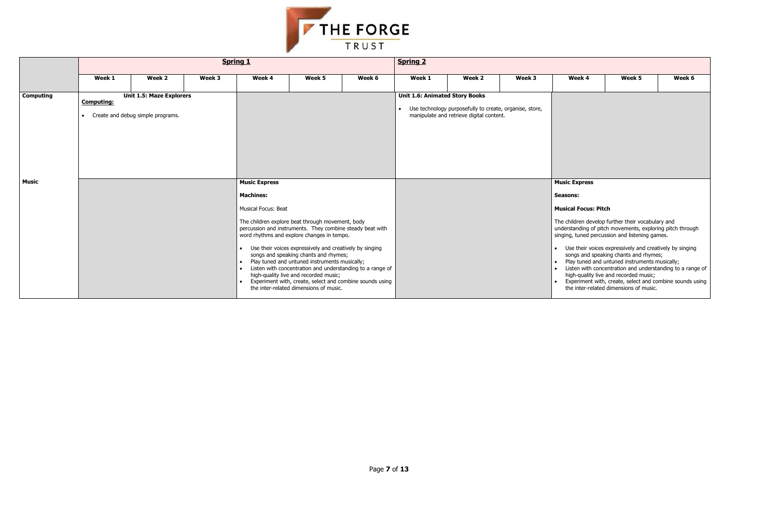

|              |                   | <b>Spring 1</b>                                                        |        |                                                                                                                     |                                                                                                                                                                                                                                                                                                                                                                                                                                                                                                                              |        | <b>Spring 2</b>                                    |                                                                                                     |        |                                                                                           |                                                                                                                                                                                                                                                                                                                                                                                                                                                                                                                      |        |  |  |
|--------------|-------------------|------------------------------------------------------------------------|--------|---------------------------------------------------------------------------------------------------------------------|------------------------------------------------------------------------------------------------------------------------------------------------------------------------------------------------------------------------------------------------------------------------------------------------------------------------------------------------------------------------------------------------------------------------------------------------------------------------------------------------------------------------------|--------|----------------------------------------------------|-----------------------------------------------------------------------------------------------------|--------|-------------------------------------------------------------------------------------------|----------------------------------------------------------------------------------------------------------------------------------------------------------------------------------------------------------------------------------------------------------------------------------------------------------------------------------------------------------------------------------------------------------------------------------------------------------------------------------------------------------------------|--------|--|--|
|              | Week 1            | Week 2                                                                 | Week 3 | Week 4                                                                                                              | Week 5                                                                                                                                                                                                                                                                                                                                                                                                                                                                                                                       | Week 6 | Week 1                                             | Week 2                                                                                              | Week 3 | Week 4                                                                                    | Week 5                                                                                                                                                                                                                                                                                                                                                                                                                                                                                                               | Week 6 |  |  |
| Computing    | <b>Computing:</b> | <b>Unit 1.5: Maze Explorers</b><br>• Create and debug simple programs. |        |                                                                                                                     |                                                                                                                                                                                                                                                                                                                                                                                                                                                                                                                              |        | <b>Unit 1.6: Animated Story Books</b><br>$\bullet$ | Use technology purposefully to create, organise, store,<br>manipulate and retrieve digital content. |        |                                                                                           |                                                                                                                                                                                                                                                                                                                                                                                                                                                                                                                      |        |  |  |
| <b>Music</b> |                   |                                                                        |        | <b>Music Express</b><br><b>Machines:</b><br>Musical Focus: Beat<br>$\bullet$<br>$\bullet$<br>$\bullet$<br>$\bullet$ | The children explore beat through movement, body<br>percussion and instruments. They combine steady beat with<br>word rhythms and explore changes in tempo.<br>Use their voices expressively and creatively by singing<br>songs and speaking chants and rhymes;<br>Play tuned and untuned instruments musically;<br>Listen with concentration and understanding to a range of<br>high-quality live and recorded music;<br>Experiment with, create, select and combine sounds using<br>the inter-related dimensions of music. |        |                                                    |                                                                                                     |        | <b>Music Express</b><br>Seasons:<br><b>Musical Focus: Pitch</b><br>$\bullet$<br>$\bullet$ | The children develop further their vocabulary and<br>understanding of pitch movements, exploring pitch throug<br>singing, tuned percussion and listening games.<br>Use their voices expressively and creatively by singin<br>songs and speaking chants and rhymes;<br>Play tuned and untuned instruments musically;<br>Listen with concentration and understanding to a ran<br>high-quality live and recorded music;<br>Experiment with, create, select and combine sounds<br>the inter-related dimensions of music. |        |  |  |

| Week 4                      | Week 5                                                                                                                                                                                                                                                                                                                                                        | Week 6 |
|-----------------------------|---------------------------------------------------------------------------------------------------------------------------------------------------------------------------------------------------------------------------------------------------------------------------------------------------------------------------------------------------------------|--------|
|                             |                                                                                                                                                                                                                                                                                                                                                               |        |
| <b>Music Express</b>        |                                                                                                                                                                                                                                                                                                                                                               |        |
| Seasons:                    |                                                                                                                                                                                                                                                                                                                                                               |        |
| <b>Musical Focus: Pitch</b> |                                                                                                                                                                                                                                                                                                                                                               |        |
|                             | The children develop further their vocabulary and<br>understanding of pitch movements, exploring pitch through<br>singing, tuned percussion and listening games.                                                                                                                                                                                              |        |
|                             | Use their voices expressively and creatively by singing<br>songs and speaking chants and rhymes;<br>Play tuned and untuned instruments musically;<br>Listen with concentration and understanding to a range of<br>high-quality live and recorded music;<br>Experiment with, create, select and combine sounds using<br>the inter-related dimensions of music. |        |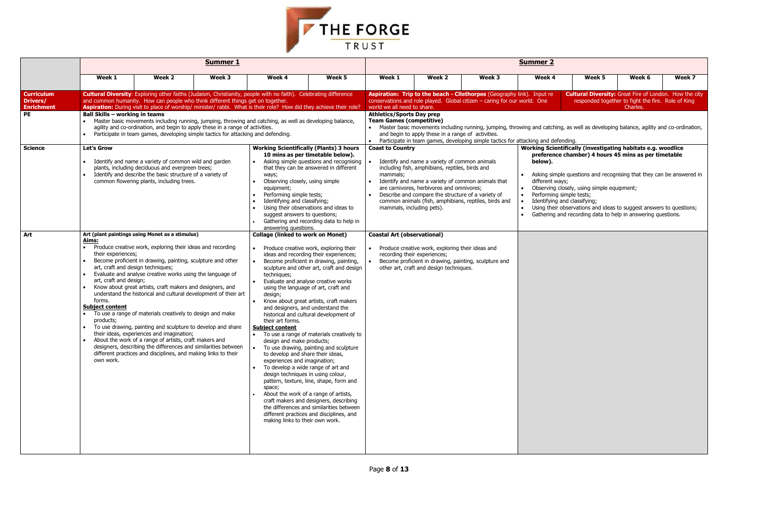

|                                                                 |                                                                                                                     |                                                                                                                                                                                                                                                                                                                                                                                                                                                                                                                                                                                                                                                                                                                                                                                       | <b>Summer 1</b> |                                                                                                                                                                                                                                                                                                                                                              |                                                                                                                                                                                                                                                                                                                                                                                                                                                                                                                                                                                                                                                                                                                                     | <b>Summer 2</b>                                                                                    |                                                                                                                                                                                                     |                                                                                                                                                                                                                                                                                                |                                                                                                                                                        |                                                                                                                                                                                                                                                                                                                   |                                                                |        |  |  |
|-----------------------------------------------------------------|---------------------------------------------------------------------------------------------------------------------|---------------------------------------------------------------------------------------------------------------------------------------------------------------------------------------------------------------------------------------------------------------------------------------------------------------------------------------------------------------------------------------------------------------------------------------------------------------------------------------------------------------------------------------------------------------------------------------------------------------------------------------------------------------------------------------------------------------------------------------------------------------------------------------|-----------------|--------------------------------------------------------------------------------------------------------------------------------------------------------------------------------------------------------------------------------------------------------------------------------------------------------------------------------------------------------------|-------------------------------------------------------------------------------------------------------------------------------------------------------------------------------------------------------------------------------------------------------------------------------------------------------------------------------------------------------------------------------------------------------------------------------------------------------------------------------------------------------------------------------------------------------------------------------------------------------------------------------------------------------------------------------------------------------------------------------------|----------------------------------------------------------------------------------------------------|-----------------------------------------------------------------------------------------------------------------------------------------------------------------------------------------------------|------------------------------------------------------------------------------------------------------------------------------------------------------------------------------------------------------------------------------------------------------------------------------------------------|--------------------------------------------------------------------------------------------------------------------------------------------------------|-------------------------------------------------------------------------------------------------------------------------------------------------------------------------------------------------------------------------------------------------------------------------------------------------------------------|----------------------------------------------------------------|--------|--|--|
|                                                                 | Week 1                                                                                                              | Week 2                                                                                                                                                                                                                                                                                                                                                                                                                                                                                                                                                                                                                                                                                                                                                                                | Week 3          | Week 4                                                                                                                                                                                                                                                                                                                                                       | Week 5                                                                                                                                                                                                                                                                                                                                                                                                                                                                                                                                                                                                                                                                                                                              | Week 1                                                                                             | Week 2                                                                                                                                                                                              | Week 3                                                                                                                                                                                                                                                                                         | Week 4                                                                                                                                                 | Week 5                                                                                                                                                                                                                                                                                                            | Week 6                                                         | Week 7 |  |  |
| <b>Curriculum</b><br><b>Drivers/</b><br><b>Enrichment</b><br>PE | Ball Skills - working in teams                                                                                      | and common humanity. How can people who think different things get on together.<br>agility and co-ordination, and begin to apply these in a range of activities.<br>Participate in team games, developing simple tactics for attacking and defending.                                                                                                                                                                                                                                                                                                                                                                                                                                                                                                                                 |                 | <b>Cultural Diversity:</b> Exploring other faiths (Judaism, Christianity, people with no faith). Celebrating difference<br>Aspiration: During visit to place of worship/ minister/ rabbi. What is their role? How did they achieve their role?<br>• Master basic movements including running, jumping, throwing and catching, as well as developing balance, |                                                                                                                                                                                                                                                                                                                                                                                                                                                                                                                                                                                                                                                                                                                                     | world we all need to share.<br><b>Athletics/Sports Day prep</b><br><b>Team Games (competitive)</b> | and begin to apply these in a range of activities.                                                                                                                                                  | Aspiration: Trip to the beach - Cllethorpes (Geography link). Input re<br>conservations and role played. Global citizen $-$ caring for our world. One<br>• Master basic movements including running, jumping, throwing and catching, as well as developing balance, agility and co-ordination, |                                                                                                                                                        | <b>Cultural Diversity:</b> Great Fire of London. How the city                                                                                                                                                                                                                                                     | responded together to fight the fire. Role of King<br>Charles. |        |  |  |
| <b>Science</b>                                                  | <b>Let's Grow</b>                                                                                                   | Identify and name a variety of common wild and garden<br>plants, including deciduous and evergreen trees;<br>Identify and describe the basic structure of a variety of<br>common flowering plants, including trees.                                                                                                                                                                                                                                                                                                                                                                                                                                                                                                                                                                   |                 | ways;<br>Observing closely, using simple<br>equipment;<br>Performing simple tests;<br>Identifying and classifying;<br>suggest answers to questions;<br>answering questions.                                                                                                                                                                                  | <b>Working Scientifically (Plants) 3 hours</b><br>10 mins as per timetable below).<br>Asking simple questions and recognising<br>that they can be answered in different<br>Using their observations and ideas to<br>Gathering and recording data to help in                                                                                                                                                                                                                                                                                                                                                                                                                                                                         | <b>Coast to Country</b><br>mammals:<br>mammals, including pets).                                   | Identify and name a variety of common animals<br>including fish, amphibians, reptiles, birds and<br>are carnivores, herbivores and omnivores;<br>Describe and compare the structure of a variety of | • Participate in team games, developing simple tactics for attacking and defending.<br>Identify and name a variety of common animals that<br>common animals (fish, amphibians, reptiles, birds and                                                                                             | Working Scientifically (investigating habitats e.g. woodlice<br>below).<br>different ways;<br>Performing simple tests;<br>Identifying and classifying; | preference chamber) 4 hours 45 mins as per timetable<br>Asking simple questions and recognising that they can be answered in<br>Observing closely, using simple equipment;<br>Using their observations and ideas to suggest answers to questions;<br>Gathering and recording data to help in answering questions. |                                                                |        |  |  |
| Art                                                             | Aims:<br>their experiences;<br>art, craft and design;<br>forms.<br><b>Subject content</b><br>products;<br>own work. | Art (plant paintings using Monet as a stimulus)<br>Produce creative work, exploring their ideas and recording<br>Become proficient in drawing, painting, sculpture and other<br>art, craft and design techniques;<br>Evaluate and analyse creative works using the language of<br>Know about great artists, craft makers and designers, and<br>understand the historical and cultural development of their art<br>To use a range of materials creatively to design and make<br>To use drawing, painting and sculpture to develop and share<br>their ideas, experiences and imagination;<br>About the work of a range of artists, craft makers and<br>designers, describing the differences and similarities between<br>different practices and disciplines, and making links to their |                 | <b>Collage (linked to work on Monet)</b><br>techniques;<br>design;<br>their art forms.<br><b>Subject content</b><br>design and make products;<br>to develop and share their ideas,<br>experiences and imagination;<br>design techniques in using colour,<br>space;<br>making links to their own work.                                                        | Produce creative work, exploring their<br>ideas and recording their experiences;<br>Become proficient in drawing, painting,<br>sculpture and other art, craft and design<br>Evaluate and analyse creative works<br>using the language of art, craft and<br>Know about great artists, craft makers<br>and designers, and understand the<br>historical and cultural development of<br>To use a range of materials creatively to<br>To use drawing, painting and sculpture<br>To develop a wide range of art and<br>pattern, texture, line, shape, form and<br>About the work of a range of artists,<br>craft makers and designers, describing<br>the differences and similarities between<br>different practices and disciplines, and | <b>Coastal Art (observational)</b>                                                                 | Produce creative work, exploring their ideas and<br>recording their experiences;<br>other art, craft and design techniques.                                                                         | Become proficient in drawing, painting, sculpture and                                                                                                                                                                                                                                          |                                                                                                                                                        |                                                                                                                                                                                                                                                                                                                   |                                                                |        |  |  |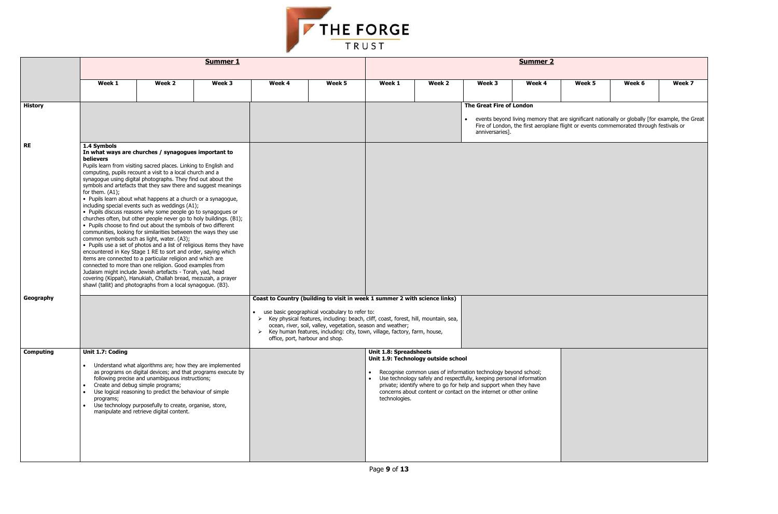

|                  | <b>Summer 1</b>                                                                                                                                                                                                                                                                                                                                                                                                      |                                                                                                                                                                                                                                                                                                                                                                                                                                                                                                                                                                                                                                                                                                                                                                                                                                                                                                                                                                                                                                                                                                                                                                                                                                     |        |        |                                                                                                                                                                                                                                                                                                                                                                                                        |                                                                                                                                                                                                                                                                                                                                                                             | <b>Summer 2</b> |                                                          |        |        |                                                                                                                                                                                           |        |  |  |
|------------------|----------------------------------------------------------------------------------------------------------------------------------------------------------------------------------------------------------------------------------------------------------------------------------------------------------------------------------------------------------------------------------------------------------------------|-------------------------------------------------------------------------------------------------------------------------------------------------------------------------------------------------------------------------------------------------------------------------------------------------------------------------------------------------------------------------------------------------------------------------------------------------------------------------------------------------------------------------------------------------------------------------------------------------------------------------------------------------------------------------------------------------------------------------------------------------------------------------------------------------------------------------------------------------------------------------------------------------------------------------------------------------------------------------------------------------------------------------------------------------------------------------------------------------------------------------------------------------------------------------------------------------------------------------------------|--------|--------|--------------------------------------------------------------------------------------------------------------------------------------------------------------------------------------------------------------------------------------------------------------------------------------------------------------------------------------------------------------------------------------------------------|-----------------------------------------------------------------------------------------------------------------------------------------------------------------------------------------------------------------------------------------------------------------------------------------------------------------------------------------------------------------------------|-----------------|----------------------------------------------------------|--------|--------|-------------------------------------------------------------------------------------------------------------------------------------------------------------------------------------------|--------|--|--|
|                  | Week 1                                                                                                                                                                                                                                                                                                                                                                                                               | Week 2                                                                                                                                                                                                                                                                                                                                                                                                                                                                                                                                                                                                                                                                                                                                                                                                                                                                                                                                                                                                                                                                                                                                                                                                                              | Week 3 | Week 4 | Week 5                                                                                                                                                                                                                                                                                                                                                                                                 | Week 1                                                                                                                                                                                                                                                                                                                                                                      | Week 2          | Week 3                                                   | Week 4 | Week 5 | Week 6                                                                                                                                                                                    | Week 7 |  |  |
| <b>History</b>   |                                                                                                                                                                                                                                                                                                                                                                                                                      |                                                                                                                                                                                                                                                                                                                                                                                                                                                                                                                                                                                                                                                                                                                                                                                                                                                                                                                                                                                                                                                                                                                                                                                                                                     |        |        |                                                                                                                                                                                                                                                                                                                                                                                                        |                                                                                                                                                                                                                                                                                                                                                                             |                 | The Great Fire of London<br>$\bullet$<br>anniversaries]. |        |        | events beyond living memory that are significant nationally or globally [for example, the Great<br>Fire of London, the first aeroplane flight or events commemorated through festivals or |        |  |  |
| <b>RE</b>        | 1.4 Symbols<br><b>believers</b><br>for them. (A1);                                                                                                                                                                                                                                                                                                                                                                   | In what ways are churches / synagogues important to<br>Pupils learn from visiting sacred places. Linking to English and<br>computing, pupils recount a visit to a local church and a<br>synagogue using digital photographs. They find out about the<br>symbols and artefacts that they saw there and suggest meanings<br>• Pupils learn about what happens at a church or a synagogue,<br>including special events such as weddings (A1);<br>• Pupils discuss reasons why some people go to synagogues or<br>churches often, but other people never go to holy buildings. (B1);<br>• Pupils choose to find out about the symbols of two different<br>communities, looking for similarities between the ways they use<br>common symbols such as light, water. (A3);<br>• Pupils use a set of photos and a list of religious items they have<br>encountered in Key Stage 1 RE to sort and order, saying which<br>items are connected to a particular religion and which are<br>connected to more than one religion. Good examples from<br>Judaism might include Jewish artefacts - Torah, yad, head<br>covering (Kippah), Hanukiah, Challah bread, mezuzah, a prayer<br>shawl (tallit) and photographs from a local synagogue. (B3). |        |        |                                                                                                                                                                                                                                                                                                                                                                                                        |                                                                                                                                                                                                                                                                                                                                                                             |                 |                                                          |        |        |                                                                                                                                                                                           |        |  |  |
| Geography        |                                                                                                                                                                                                                                                                                                                                                                                                                      |                                                                                                                                                                                                                                                                                                                                                                                                                                                                                                                                                                                                                                                                                                                                                                                                                                                                                                                                                                                                                                                                                                                                                                                                                                     |        |        | Coast to Country (building to visit in week 1 summer 2 with science links)<br>use basic geographical vocabulary to refer to:<br>> Key physical features, including: beach, cliff, coast, forest, hill, mountain, sea,<br>ocean, river, soil, valley, vegetation, season and weather;<br>> Key human features, including: city, town, village, factory, farm, house,<br>office, port, harbour and shop. |                                                                                                                                                                                                                                                                                                                                                                             |                 |                                                          |        |        |                                                                                                                                                                                           |        |  |  |
| <b>Computing</b> | Unit 1.7: Coding<br>Understand what algorithms are; how they are implemented<br>as programs on digital devices; and that programs execute by<br>following precise and unambiguous instructions;<br>Create and debug simple programs;<br>Use logical reasoning to predict the behaviour of simple<br>programs;<br>Use technology purposefully to create, organise, store,<br>manipulate and retrieve digital content. |                                                                                                                                                                                                                                                                                                                                                                                                                                                                                                                                                                                                                                                                                                                                                                                                                                                                                                                                                                                                                                                                                                                                                                                                                                     |        |        |                                                                                                                                                                                                                                                                                                                                                                                                        | <b>Unit 1.8: Spreadsheets</b><br>Unit 1.9: Technology outside school<br>Recognise common uses of information technology beyond school;<br>• Use technology safely and respectfully, keeping personal information<br>private; identify where to go for help and support when they have<br>concerns about content or contact on the internet or other online<br>technologies. |                 |                                                          |        |        |                                                                                                                                                                                           |        |  |  |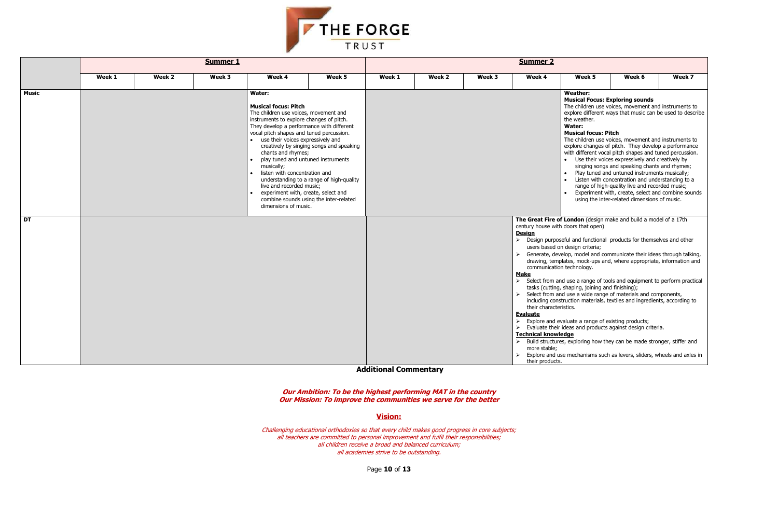**Additional Commentary**

**Our Ambition: To be the highest performing MAT in the country Our Mission: To improve the communities we serve for the better**

**Vision:**

Challenging educational orthodoxies so that every child makes good progress in core subjects; all teachers are committed to personal improvement and fulfil their responsibilities; all children receive a broad and balanced curriculum; all academies strive to be outstanding.



|              | <b>Summer 1</b> |        |                                                                                                   |                                                                                                                                                                                                                                                                                                                                                                                                                                                                                               |        | <b>Summer 2</b> |        |        |                                                                                                                                            |                                                                                                                                                                                                                                                                                                                                                                                                                                                                                                                                                                                                                                                                                                                                                                                                                                                                                                                                                                                       |        |        |
|--------------|-----------------|--------|---------------------------------------------------------------------------------------------------|-----------------------------------------------------------------------------------------------------------------------------------------------------------------------------------------------------------------------------------------------------------------------------------------------------------------------------------------------------------------------------------------------------------------------------------------------------------------------------------------------|--------|-----------------|--------|--------|--------------------------------------------------------------------------------------------------------------------------------------------|---------------------------------------------------------------------------------------------------------------------------------------------------------------------------------------------------------------------------------------------------------------------------------------------------------------------------------------------------------------------------------------------------------------------------------------------------------------------------------------------------------------------------------------------------------------------------------------------------------------------------------------------------------------------------------------------------------------------------------------------------------------------------------------------------------------------------------------------------------------------------------------------------------------------------------------------------------------------------------------|--------|--------|
|              | Week 1          | Week 2 | Week 3                                                                                            | Week 4                                                                                                                                                                                                                                                                                                                                                                                                                                                                                        | Week 5 | Week 1          | Week 2 | Week 3 | Week 4                                                                                                                                     | Week 5                                                                                                                                                                                                                                                                                                                                                                                                                                                                                                                                                                                                                                                                                                                                                                                                                                                                                                                                                                                | Week 6 | Week 7 |
| <b>Music</b> |                 |        | Water:<br><b>Musical focus: Pitch</b><br>chants and rhymes;<br>musically;<br>dimensions of music. | The children use voices, movement and<br>instruments to explore changes of pitch.<br>They develop a performance with different<br>vocal pitch shapes and tuned percussion.<br>• use their voices expressively and<br>creatively by singing songs and speaking<br>play tuned and untuned instruments<br>listen with concentration and<br>understanding to a range of high-quality<br>live and recorded music;<br>experiment with, create, select and<br>combine sounds using the inter-related |        |                 |        |        |                                                                                                                                            | <b>Weather:</b><br><b>Musical Focus: Exploring sounds</b><br>The children use voices, movement and instruments to<br>explore different ways that music can be used to describe<br>the weather.<br>Water:<br><b>Musical focus: Pitch</b><br>The children use voices, movement and instruments to<br>explore changes of pitch. They develop a performance<br>with different vocal pitch shapes and tuned percussion.<br>• Use their voices expressively and creatively by<br>singing songs and speaking chants and rhymes;<br>Play tuned and untuned instruments musically;<br>Listen with concentration and understanding to a<br>range of high-quality live and recorded music;<br>Experiment with, create, select and combine sounds<br>using the inter-related dimensions of music.<br>The Great Fire of London (design make and build a model of a 17th                                                                                                                            |        |        |
| <b>DT</b>    |                 |        |                                                                                                   |                                                                                                                                                                                                                                                                                                                                                                                                                                                                                               |        |                 |        |        | <b>Design</b><br><b>Make</b><br>their characteristics.<br><b>Evaluate</b><br><b>Technical knowledge</b><br>more stable:<br>their products. | century house with doors that open)<br>$\triangleright$ Design purposeful and functional products for themselves and other<br>users based on design criteria;<br>$\triangleright$ Generate, develop, model and communicate their ideas through talking,<br>drawing, templates, mock-ups and, where appropriate, information and<br>communication technology.<br>Select from and use a range of tools and equipment to perform practical<br>tasks (cutting, shaping, joining and finishing);<br>Select from and use a wide range of materials and components,<br>including construction materials, textiles and ingredients, according to<br>$\triangleright$ Explore and evaluate a range of existing products;<br>$\triangleright$ Evaluate their ideas and products against design criteria.<br>$\triangleright$ Build structures, exploring how they can be made stronger, stiffer and<br>$\triangleright$ Explore and use mechanisms such as levers, sliders, wheels and axles in |        |        |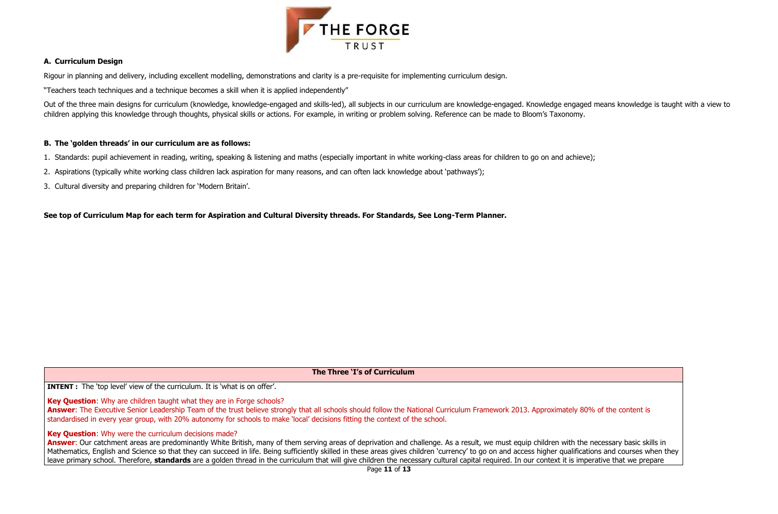



# **A. Curriculum Design**

Rigour in planning and delivery, including excellent modelling, demonstrations and clarity is a pre-requisite for implementing curriculum design.

"Teachers teach techniques and a technique becomes a skill when it is applied independently"

Out of the three main designs for curriculum (knowledge, knowledge-engaged and skills-led), all subjects in our curriculum are knowledge-engaged. Knowledge engaged means knowledge is taught with a view to children applying this knowledge through thoughts, physical skills or actions. For example, in writing or problem solving. Reference can be made to Bloom's Taxonomy.

# **B. The 'golden threads' in our curriculum are as follows:**

Answer: The Executive Senior Leadership Team of the trust believe strongly that all schools should follow the National Curriculum Framework 2013. Approximately 80% of the content is standardised in every year group, with 20% autonomy for schools to make 'local' decisions fitting the context of the school.

# **Key Question:** Why were the curriculum decisions made?

- 1. Standards: pupil achievement in reading, writing, speaking & listening and maths (especially important in white working-class areas for children to go on and achieve);
- 2. Aspirations (typically white working class children lack aspiration for many reasons, and can often lack knowledge about 'pathways');
- 3. Cultural diversity and preparing children for 'Modern Britain'.

**See top of Curriculum Map for each term for Aspiration and Cultural Diversity threads. For Standards, See Long-Term Planner.**

Answer: Our catchment areas are predominantly White British, many of them serving areas of deprivation and challenge. As a result, we must equip children with the necessary basic skills in Mathematics, English and Science so that they can succeed in life. Being sufficiently skilled in these areas gives children 'currency' to go on and access higher qualifications and courses when they leave primary school. Therefore, **standards** are a golden thread in the curriculum that will give children the necessary cultural capital required. In our context it is imperative that we prepare

**The Three 'I's of Curriculum**

**INTENT** : The 'top level' view of the curriculum. It is 'what is on offer'.

**Key Question**: Why are children taught what they are in Forge schools?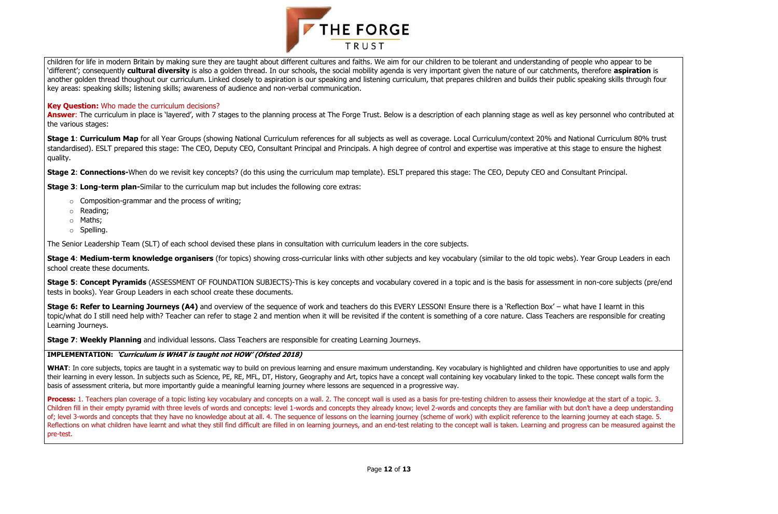

children for life in modern Britain by making sure they are taught about different cultures and faiths. We aim for our children to be tolerant and understanding of people who appear to be 'different'; consequently **cultural diversity** is also a golden thread. In our schools, the social mobility agenda is very important given the nature of our catchments, therefore **aspiration** is another golden thread thoughout our curriculum. Linked closely to aspiration is our speaking and listening curriculum, that prepares children and builds their public speaking skills through four key areas: speaking skills; listening skills; awareness of audience and non-verbal communication.

Answer: The curriculum in place is 'layered', with 7 stages to the planning process at The Forge Trust. Below is a description of each planning stage as well as key personnel who contributed at the various stages:

Stage 1: Curriculum Map for all Year Groups (showing National Curriculum references for all subjects as well as coverage. Local Curriculum/context 20% and National Curriculum 80% trust standardised). ESLT prepared this stage: The CEO, Deputy CEO, Consultant Principal and Principals. A high degree of control and expertise was imperative at this stage to ensure the highest quality.

**Stage 2: Connections-**When do we revisit key concepts? (do this using the curriculum map template). ESLT prepared this stage: The CEO, Deputy CEO and Consultant Principal.

## **Key Question:** Who made the curriculum decisions?

- $\circ$  Composition-grammar and the process of writing;
- o Reading;
- o Maths;
- o Spelling.

**Stage 4: Medium-term knowledge organisers** (for topics) showing cross-curricular links with other subjects and key vocabulary (similar to the old topic webs). Year Group Leaders in each school create these documents.

**Stage 5: Concept Pyramids** (ASSESSMENT OF FOUNDATION SUBJECTS)-This is key concepts and vocabulary covered in a topic and is the basis for assessment in non-core subjects (pre/end tests in books). Year Group Leaders in each school create these documents.

**Stage 6: Refer to Learning Journeys (A4)** and overview of the sequence of work and teachers do this EVERY LESSON! Ensure there is a 'Reflection Box' – what have I learnt in this topic/what do I still need help with? Teacher can refer to stage 2 and mention when it will be revisited if the content is something of a core nature. Class Teachers are responsible for creating Learning Journeys.

**Stage 3**: **Long-term plan-**Similar to the curriculum map but includes the following core extras:

WHAT: In core subjects, topics are taught in a systematic way to build on previous learning and ensure maximum understanding. Key vocabulary is highlighted and children have opportunities to use and apply their learning in every lesson. In subjects such as Science, PE, RE, MFL, DT, History, Geography and Art, topics have a concept wall containing key vocabulary linked to the topic. These concept walls form the basis of assessment criteria, but more importantly guide a meaningful learning journey where lessons are sequenced in a progressive way.

The Senior Leadership Team (SLT) of each school devised these plans in consultation with curriculum leaders in the core subjects.

**Process:** 1. Teachers plan coverage of a topic listing key vocabulary and concepts on a wall. 2. The concept wall is used as a basis for pre-testing children to assess their knowledge at the start of a topic. 3. Children fill in their empty pyramid with three levels of words and concepts: level 1-words and concepts they already know; level 2-words and concepts they are familiar with but don't have a deep understanding of; level 3-words and concepts that they have no knowledge about at all. 4. The sequence of lessons on the learning journey (scheme of work) with explicit reference to the learning journey at each stage. 5. Reflections on what children have learnt and what they still find difficult are filled in on learning journeys, and an end-test relating to the concept wall is taken. Learning and progress can be measured against the pre-test.

**Stage 7**: **Weekly Planning** and individual lessons. Class Teachers are responsible for creating Learning Journeys.

### **IMPLEMENTATION: 'Curriculum is WHAT is taught not HOW' (Ofsted 2018)**